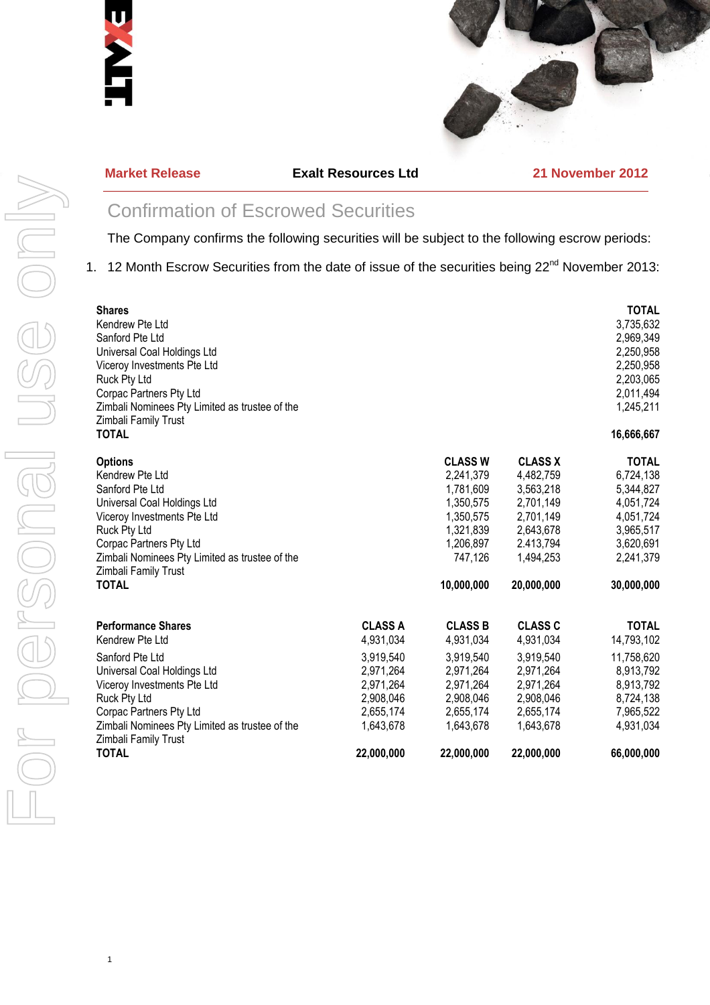



#### **Market Release Exalt Resources Ltd 21 November 2012**

# Confirmation of Escrowed Securities

The Company confirms the following securities will be subject to the following escrow periods:

1. 12 Month Escrow Securities from the date of issue of the securities being 22<sup>nd</sup> November 2013:

| <b>Shares</b><br>Kendrew Pte Ltd<br>Sanford Pte Ltd<br>Universal Coal Holdings Ltd<br>Viceroy Investments Pte Ltd<br>Ruck Pty Ltd<br>Corpac Partners Pty Ltd<br>Zimbali Nominees Pty Limited as trustee of the<br>Zimbali Family Trust<br><b>TOTAL</b> |                |                                    |                                      | <b>TOTAL</b><br>3,735,632<br>2,969,349<br>2,250,958<br>2,250,958<br>2,203,065<br>2,011,494<br>1,245,211<br>16,666,667 |
|--------------------------------------------------------------------------------------------------------------------------------------------------------------------------------------------------------------------------------------------------------|----------------|------------------------------------|--------------------------------------|-----------------------------------------------------------------------------------------------------------------------|
| <b>Options</b>                                                                                                                                                                                                                                         |                | <b>CLASS W</b>                     | <b>CLASS X</b>                       | <b>TOTAL</b>                                                                                                          |
| Kendrew Pte Ltd                                                                                                                                                                                                                                        |                | 2,241,379                          | 4,482,759                            | 6,724,138                                                                                                             |
| Sanford Pte Ltd                                                                                                                                                                                                                                        |                | 1,781,609                          | 3,563,218                            | 5,344,827                                                                                                             |
| Universal Coal Holdings Ltd                                                                                                                                                                                                                            |                | 1,350,575                          | 2,701,149                            | 4,051,724                                                                                                             |
| Viceroy Investments Pte Ltd                                                                                                                                                                                                                            |                | 1,350,575                          | 2,701,149                            | 4,051,724                                                                                                             |
| Ruck Pty Ltd                                                                                                                                                                                                                                           |                | 1,321,839                          | 2,643,678                            | 3,965,517                                                                                                             |
| Corpac Partners Pty Ltd<br>Zimbali Nominees Pty Limited as trustee of the<br>Zimbali Family Trust<br><b>TOTAL</b>                                                                                                                                      |                | 1,206,897<br>747,126<br>10,000,000 | 2.413,794<br>1,494,253<br>20,000,000 | 3,620,691<br>2,241,379<br>30,000,000                                                                                  |
| <b>Performance Shares</b>                                                                                                                                                                                                                              | <b>CLASS A</b> | <b>CLASS B</b>                     | <b>CLASS C</b>                       | <b>TOTAL</b>                                                                                                          |
| Kendrew Pte Ltd                                                                                                                                                                                                                                        | 4,931,034      | 4,931,034                          | 4,931,034                            | 14,793,102                                                                                                            |
| Sanford Pte Ltd                                                                                                                                                                                                                                        | 3,919,540      | 3,919,540                          | 3,919,540                            | 11,758,620                                                                                                            |
| Universal Coal Holdings Ltd                                                                                                                                                                                                                            | 2,971,264      | 2,971,264                          | 2,971,264                            | 8,913,792                                                                                                             |
| Viceroy Investments Pte Ltd                                                                                                                                                                                                                            | 2,971,264      | 2,971,264                          | 2,971,264                            | 8,913,792                                                                                                             |
| Ruck Pty Ltd                                                                                                                                                                                                                                           | 2,908,046      | 2,908,046                          | 2,908,046                            | 8,724,138                                                                                                             |
| Corpac Partners Pty Ltd                                                                                                                                                                                                                                | 2,655,174      | 2,655,174                          | 2,655,174                            | 7,965,522                                                                                                             |
| Zimbali Nominees Pty Limited as trustee of the                                                                                                                                                                                                         | 1,643,678      | 1,643,678                          | 1,643,678                            | 4,931,034                                                                                                             |
| Zimbali Family Trust<br><b>TOTAL</b>                                                                                                                                                                                                                   | 22,000,000     | 22,000,000                         | 22,000,000                           | 66,000,000                                                                                                            |

1